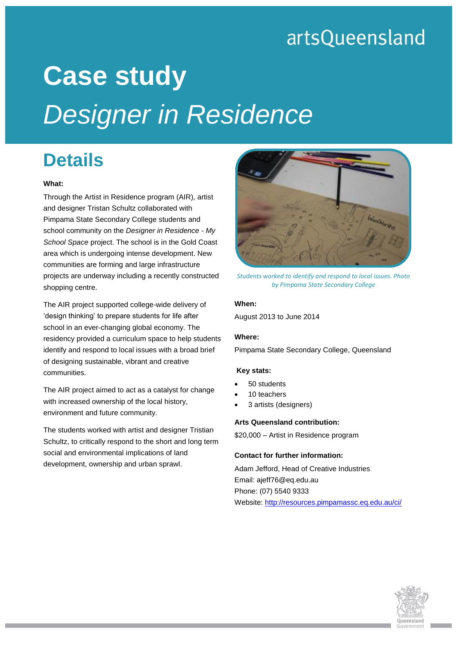## artsQueensland

# **Case study** *Designer in Residence*

### **Details**

#### **What:**

Through the Artist in Residence program (AIR), artist and designer Tristan Schultz collaborated with Pimpama State Secondary College students and school community on the *Designer in Residence - My School Space* project. The school is in the Gold Coast area which is undergoing intense development. New communities are forming and large infrastructure projects are underway including a recently constructed shopping centre.

The AIR project supported college-wide delivery of 'design thinking' to prepare students for life after school in an ever-changing global economy. The residency provided a curriculum space to help students identify and respond to local issues with a broad brief of designing sustainable, vibrant and creative communities.

The AIR project aimed to act as a catalyst for change with increased ownership of the local history, environment and future community.

The students worked with artist and designer Tristian Schultz, to critically respond to the short and long term social and environmental implications of land development, ownership and urban sprawl.



*Students worked to identify and respond to local issues. Photo by Pimpama State Secondary College*

#### **When:**

August 2013 to June 2014

#### **Where:**

Pimpama State Secondary College, Queensland

#### **Key stats:**

- 50 students
- 10 teachers
- 3 artists (designers)

#### **Arts Queensland contribution:**

\$20,000 – Artist in Residence program

#### **Contact for further information:**

Adam Jefford, Head of Creative Industries Email: ajeff76@eq.edu.au Phone: (07) 5540 9333 Website[: http://resources.pimpamassc.eq.edu.au/ci/](http://resources.pimpamassc.eq.edu.au/ci/)